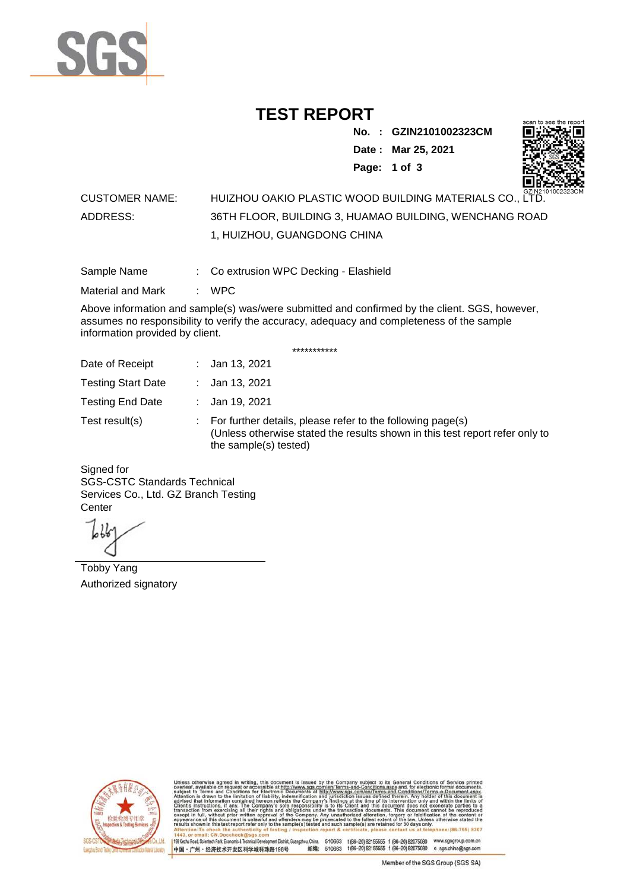

## **TEST REPORT**

**No. : GZIN2101002323CM Date : Mar 25, 2021**



**Page: 1 of 3** 

## CUSTOMER NAME: HUIZHOU OAKIO PLASTIC WOOD BUILDING MATERIALS CO., LTD. ADDRESS: 36TH FLOOR, BUILDING 3, HUAMAO BUILDING, WENCHANG ROAD 1, HUIZHOU, GUANGDONG CHINA

Sample Name : Co extrusion WPC Decking - Elashield

Material and Mark : WPC

Above information and sample(s) was/were submitted and confirmed by the client. SGS, however, assumes no responsibility to verify the accuracy, adequacy and completeness of the sample information provided by client.

\*\*\*\*\*\*\*\*\*\*\*

| Date of Receipt           | : Jan 13, 2021                                                                                                                                                        |
|---------------------------|-----------------------------------------------------------------------------------------------------------------------------------------------------------------------|
| <b>Testing Start Date</b> | : Jan 13, 2021                                                                                                                                                        |
| <b>Testing End Date</b>   | : Jan 19, 2021                                                                                                                                                        |
| Test result(s)            | : For further details, please refer to the following page(s)<br>(Unless otherwise stated the results shown in this test report refer only to<br>the sample(s) tested) |

Signed for SGS-CSTC Standards Technical Services Co., Ltd. GZ Branch Testing **Center** 

Tobby Yang Authorized signatory



510663 t(86-20) 82155555 f (86-20) 82075080 www.sgsgroup.com.cn<br>510663 t(86-20) 82155555 f (86-20) 82075080 e sgs.china@sgs.com 198 Kezhu Road, Scientech Park, Eco nomic & Technical Devel tou, China. ant District C 邮编: 中国·广州·经济技术开发区科学城科珠路198号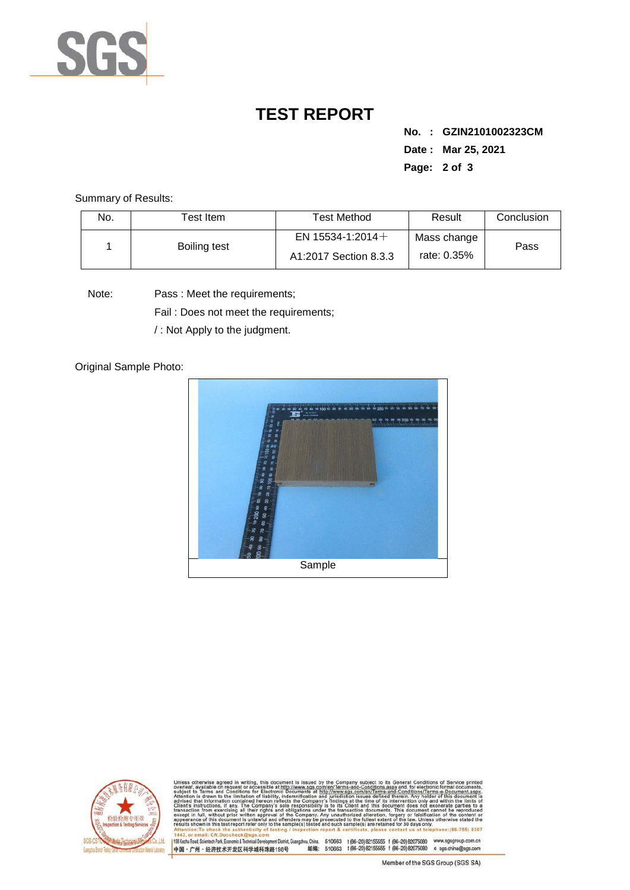

## **TEST REPORT**

**No. : GZIN2101002323CM Date : Mar 25, 2021 Page: 2 of 3** 

Summary of Results:

| No. | $\sf{Test}$ Item . | <b>Test Method</b>                           | Result                     | Conclusion |
|-----|--------------------|----------------------------------------------|----------------------------|------------|
|     | Boiling test       | EN 15534-1:2014 $+$<br>A1:2017 Section 8.3.3 | Mass change<br>rate: 0.35% | Pass       |

Note: Pass : Meet the requirements;

Fail : Does not meet the requirements;

/ : Not Apply to the judgment.

Original Sample Photo:





Conditions/Terms-e-Do<br>rein: Any holder of this 198 Kezhu Road, Scientech Park, Economic & Technical Develop 中国·广州·经济技术开发区科学城科珠路198号